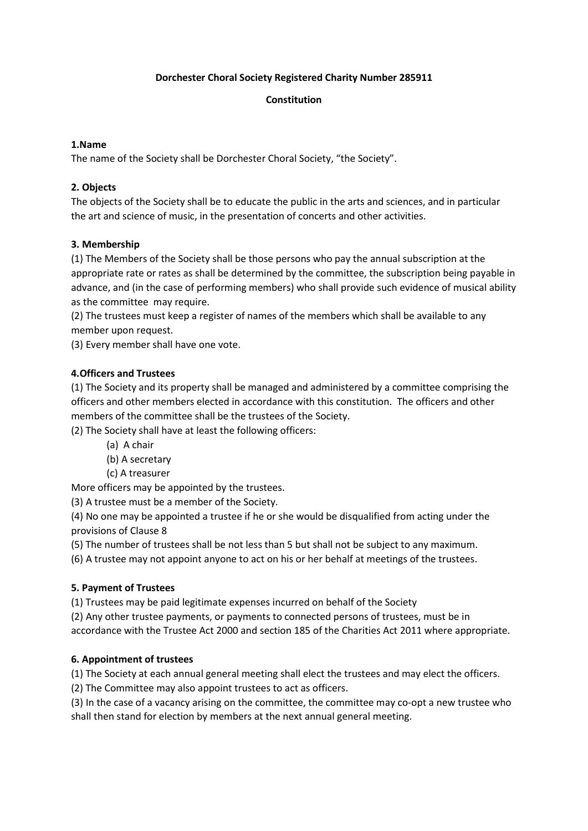### Dorchester Choral Society Registered Charity Number 285911

### Constitution

### 1.Name

The name of the Society shall be Dorchester Choral Society, "the Society".

### 2. Objects

The objects of the Society shall be to educate the public in the arts and sciences, and in particular the art and science of music, in the presentation of concerts and other activities.

### 3. Membership

(1) The Members of the Society shall be those persons who pay the annual subscription at the appropriate rate or rates as shall be determined by the committee, the subscription being payable in advance, and (in the case of performing members) who shall provide such evidence of musical ability as the committee may require.

(2) The trustees must keep a register of names of the members which shall be available to any member upon request.

(3) Every member shall have one vote.

### 4.Officers and Trustees

(1) The Society and its property shall be managed and administered by a committee comprising the officers and other members elected in accordance with this constitution. The officers and other members of the committee shall be the trustees of the Society.

(2) The Society shall have at least the following officers:

- (a) A chair
- (b) A secretary
- (c) A treasurer

More officers may be appointed by the trustees.

(3) A trustee must be a member of the Society.

(4) No one may be appointed a trustee if he or she would be disqualified from acting under the provisions of Clause 8

(5) The number of trustees shall be not less than 5 but shall not be subject to any maximum.

(6) A trustee may not appoint anyone to act on his or her behalf at meetings of the trustees.

# 5. Payment of Trustees

(1) Trustees may be paid legitimate expenses incurred on behalf of the Society

(2) Any other trustee payments, or payments to connected persons of trustees, must be in accordance with the Trustee Act 2000 and section 185 of the Charities Act 2011 where appropriate.

# 6. Appointment of trustees

(1) The Society at each annual general meeting shall elect the trustees and may elect the officers.

(2) The Committee may also appoint trustees to act as officers.

(3) In the case of a vacancy arising on the committee, the committee may co-opt a new trustee who shall then stand for election by members at the next annual general meeting.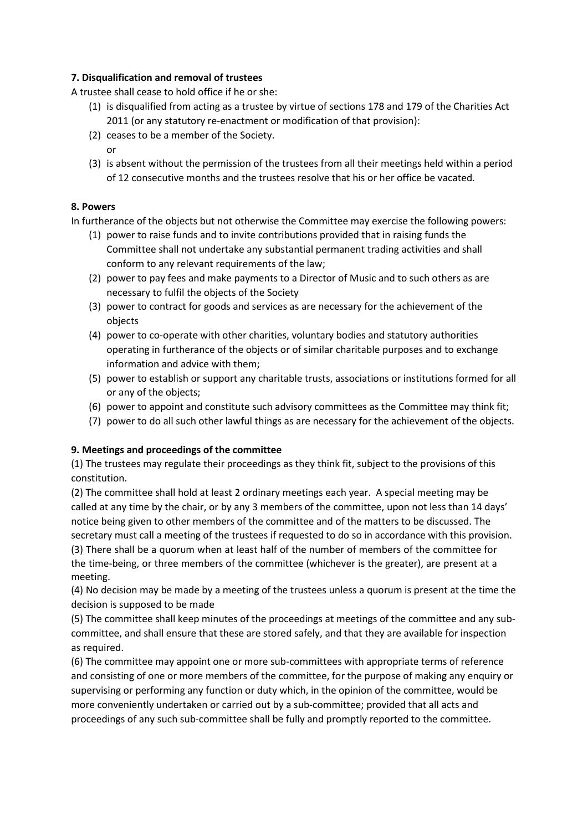#### 7. Disqualification and removal of trustees

A trustee shall cease to hold office if he or she:

- (1) is disqualified from acting as a trustee by virtue of sections 178 and 179 of the Charities Act 2011 (or any statutory re-enactment or modification of that provision):
- (2) ceases to be a member of the Society. or
- (3) is absent without the permission of the trustees from all their meetings held within a period of 12 consecutive months and the trustees resolve that his or her office be vacated.

#### 8. Powers

In furtherance of the objects but not otherwise the Committee may exercise the following powers:

- (1) power to raise funds and to invite contributions provided that in raising funds the Committee shall not undertake any substantial permanent trading activities and shall conform to any relevant requirements of the law;
- (2) power to pay fees and make payments to a Director of Music and to such others as are necessary to fulfil the objects of the Society
- (3) power to contract for goods and services as are necessary for the achievement of the objects
- (4) power to co-operate with other charities, voluntary bodies and statutory authorities operating in furtherance of the objects or of similar charitable purposes and to exchange information and advice with them;
- (5) power to establish or support any charitable trusts, associations or institutions formed for all or any of the objects;
- (6) power to appoint and constitute such advisory committees as the Committee may think fit;
- (7) power to do all such other lawful things as are necessary for the achievement of the objects.

### 9. Meetings and proceedings of the committee

(1) The trustees may regulate their proceedings as they think fit, subject to the provisions of this constitution.

(2) The committee shall hold at least 2 ordinary meetings each year. A special meeting may be called at any time by the chair, or by any 3 members of the committee, upon not less than 14 days' notice being given to other members of the committee and of the matters to be discussed. The secretary must call a meeting of the trustees if requested to do so in accordance with this provision. (3) There shall be a quorum when at least half of the number of members of the committee for

the time-being, or three members of the committee (whichever is the greater), are present at a meeting.

(4) No decision may be made by a meeting of the trustees unless a quorum is present at the time the decision is supposed to be made

(5) The committee shall keep minutes of the proceedings at meetings of the committee and any subcommittee, and shall ensure that these are stored safely, and that they are available for inspection as required.

(6) The committee may appoint one or more sub-committees with appropriate terms of reference and consisting of one or more members of the committee, for the purpose of making any enquiry or supervising or performing any function or duty which, in the opinion of the committee, would be more conveniently undertaken or carried out by a sub-committee; provided that all acts and proceedings of any such sub-committee shall be fully and promptly reported to the committee.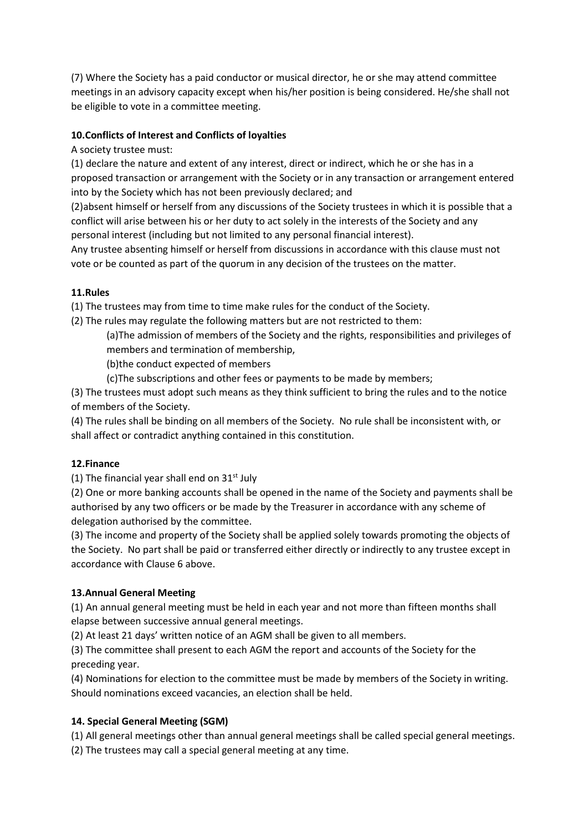(7) Where the Society has a paid conductor or musical director, he or she may attend committee meetings in an advisory capacity except when his/her position is being considered. He/she shall not be eligible to vote in a committee meeting.

### 10.Conflicts of Interest and Conflicts of loyalties

A society trustee must:

(1) declare the nature and extent of any interest, direct or indirect, which he or she has in a proposed transaction or arrangement with the Society or in any transaction or arrangement entered into by the Society which has not been previously declared; and

(2)absent himself or herself from any discussions of the Society trustees in which it is possible that a conflict will arise between his or her duty to act solely in the interests of the Society and any personal interest (including but not limited to any personal financial interest).

Any trustee absenting himself or herself from discussions in accordance with this clause must not vote or be counted as part of the quorum in any decision of the trustees on the matter.

#### 11.Rules

(1) The trustees may from time to time make rules for the conduct of the Society.

(2) The rules may regulate the following matters but are not restricted to them:

(a)The admission of members of the Society and the rights, responsibilities and privileges of members and termination of membership,

(b)the conduct expected of members

(c)The subscriptions and other fees or payments to be made by members;

(3) The trustees must adopt such means as they think sufficient to bring the rules and to the notice of members of the Society.

(4) The rules shall be binding on all members of the Society. No rule shall be inconsistent with, or shall affect or contradict anything contained in this constitution.

### 12.Finance

(1) The financial year shall end on  $31<sup>st</sup>$  July

(2) One or more banking accounts shall be opened in the name of the Society and payments shall be authorised by any two officers or be made by the Treasurer in accordance with any scheme of delegation authorised by the committee.

(3) The income and property of the Society shall be applied solely towards promoting the objects of the Society. No part shall be paid or transferred either directly or indirectly to any trustee except in accordance with Clause 6 above.

### 13.Annual General Meeting

(1) An annual general meeting must be held in each year and not more than fifteen months shall elapse between successive annual general meetings.

(2) At least 21 days' written notice of an AGM shall be given to all members.

(3) The committee shall present to each AGM the report and accounts of the Society for the preceding year.

(4) Nominations for election to the committee must be made by members of the Society in writing. Should nominations exceed vacancies, an election shall be held.

### 14. Special General Meeting (SGM)

(1) All general meetings other than annual general meetings shall be called special general meetings.

(2) The trustees may call a special general meeting at any time.